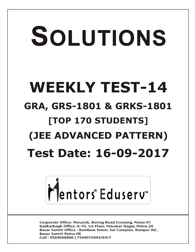# SOLUTIONS **WEEKLY TEST-14 GRA, GRS-1801 & GRKS-1801 [TOP 170 STUDENTS] (JEE ADVANCED PATTERN) Test Date: 16-09-2017**



**Corporate Office: Paruslok, Boring Road Crossing, Patna-01** Kankarbagh Office: A-10, 1st Floor, Patrakar Nagar, Patna-20 Bazar Samiti Office: Rainbow Tower, Sai Complex, Rampur Rd., **Bazar Samiti Patna-06** Call: 9569668800 | 7544015993/4/6/7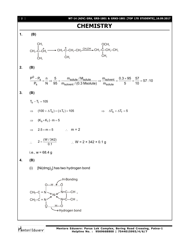

Mentors Eduserv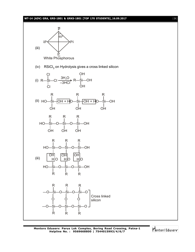#### **WT-14 (ADV) GRA, GRS-1801 & GRKS-1801 [TOP 170 STUDENTS]\_16.09.2017** [ **3** ]



(iv) RSiCl<sub>3</sub> on Hydrolysis gives a cross linked silicon



(iii) OH OH OH HO—Si—O—Si—O—Si—OH  $H|O$   $H|O$   $H|O$ R R R



Mentors<sup>e</sup> Eduserv<sup>-</sup>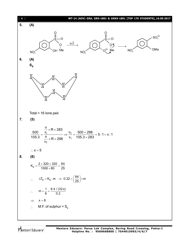

Mentors Eduserv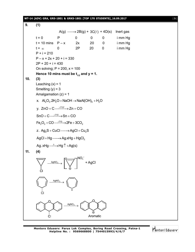## **WT-14 (ADV) GRA, GRS-1801 & GRKS-1801 [TOP 170 STUDENTS]\_16.09.2017** [ **5** ] **9. (1)**  $A(g) \longrightarrow 2B(g) + 3C(\ell) + 4D(s)$  Inert gas  $t = 0$  P 0 0 0 imm Hg  $t = 10$  mins  $P - x$  2x 20 0 imm Hg  $t = \infty$  0 2P 20 0 imm Hg  $P + i = 210$  $P - x + 2x + 20 + i = 330$  $2P + 20 + i = 430$ On solving;  $P = 200$ ,  $x = 100$ Hence 10 mins must be  $t_{1/2}$  and  $y = 1$ . **10. (3)** Leaching  $(x) = 1$ Smelting  $(y) = 3$ Amalgamation  $(z) = 1$ x.  $\mathsf{Al}_2\mathrm{O}_3$ .2H<sub>2</sub>O + NaOH  $\rightarrow$  NaAl(OH)<sub>4</sub> + H<sub>2</sub>O y.  $ZnO + C \xrightarrow{.710^{\circ}} Zn + CO$  $SnO + C \xrightarrow{.710} SPn + CO$  $\mathsf{Fe}_2\mathrm{O}_3 + \mathsf{CO} \xrightarrow{-\langle 710\rangle} 2\mathsf{Fe} + 3\mathsf{CO}_2$ z.  $Ag_2S + CuCl \longrightarrow AgCl + Cu_2S$  $AgCl + Hg \longrightarrow Ag.xHg + HgCl_2$ Ag. xHg  $\xrightarrow{\Delta}$  Hg  $\uparrow$  +Ag(s) **11. (4)** + AgCl  $\xrightarrow{\text{Agiiv}}$  $\rightarrow$ + Cl  $\xrightarrow{\mathsf{AgNO}_3}$ A ĊI Aromatic

Mentors Eduserv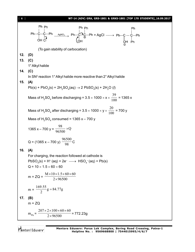| $\begin{bmatrix} 6 \end{bmatrix}$ | WT-14 (ADV) GRA, GRS-1801 & GRKS-1801 [TOP 170 STUDENTS]_16.09.2017                                                                                                                                                                                                                                                                                                                                                      |  |  |  |  |
|-----------------------------------|--------------------------------------------------------------------------------------------------------------------------------------------------------------------------------------------------------------------------------------------------------------------------------------------------------------------------------------------------------------------------------------------------------------------------|--|--|--|--|
|                                   | Ph Ph<br>Ph <sub>Ph</sub><br>Ph<br>$\begin{array}{ccc}\n P h - C - C - Ph & \xrightarrow{AgNO_3} & Ph - C - C - Ph \\ \downarrow & \downarrow & \downarrow & \downarrow \\ \downarrow & \downarrow & \downarrow & \downarrow\n\end{array}$ $\begin{array}{ccc}\n P h - C - C - Ph & \xrightarrow{AgNO_3} & Ph - C - C - Ph \\ \downarrow & \downarrow & \downarrow \\ \downarrow & \downarrow & \downarrow\n\end{array}$ |  |  |  |  |
|                                   | (To gain stability of carbocation)                                                                                                                                                                                                                                                                                                                                                                                       |  |  |  |  |
| 12.                               | (D)                                                                                                                                                                                                                                                                                                                                                                                                                      |  |  |  |  |
| 13.                               | (C)                                                                                                                                                                                                                                                                                                                                                                                                                      |  |  |  |  |
|                                   | 1° Alkyl halide                                                                                                                                                                                                                                                                                                                                                                                                          |  |  |  |  |
| 14.                               | (C)                                                                                                                                                                                                                                                                                                                                                                                                                      |  |  |  |  |
|                                   | In SN <sup>2</sup> reaction 1° Alkyl halide more reactive than 2° Alkyl halide                                                                                                                                                                                                                                                                                                                                           |  |  |  |  |
| 15.                               | (A)                                                                                                                                                                                                                                                                                                                                                                                                                      |  |  |  |  |
|                                   | Pb(s) + PbO <sub>2</sub> (s) + 2H <sub>2</sub> SO <sub>4</sub> (aq) $\rightarrow$ 2 PbSO <sub>4</sub> (s) + 2H <sub>2</sub> O (l)                                                                                                                                                                                                                                                                                        |  |  |  |  |
|                                   |                                                                                                                                                                                                                                                                                                                                                                                                                          |  |  |  |  |
|                                   | Mass of H <sub>2</sub> SO <sub>4</sub> before discharging = $3.5 \times 1000 \times x \times \frac{39}{100}$ = 1365 x                                                                                                                                                                                                                                                                                                    |  |  |  |  |
|                                   |                                                                                                                                                                                                                                                                                                                                                                                                                          |  |  |  |  |
|                                   |                                                                                                                                                                                                                                                                                                                                                                                                                          |  |  |  |  |
|                                   | Mass of H <sub>2</sub> SO <sub>4</sub> after discharging = $3.5 \times 1000 \times y \times \frac{20}{100}$ = 700 y                                                                                                                                                                                                                                                                                                      |  |  |  |  |
|                                   | Mass of $H_2SO_4$ consumed = 1365 x - 700 y                                                                                                                                                                                                                                                                                                                                                                              |  |  |  |  |
|                                   | 1365 x – 700 y = $\frac{98}{96500}$ × Q                                                                                                                                                                                                                                                                                                                                                                                  |  |  |  |  |
|                                   | Q = (1365 x – 700 y) $\frac{96500}{98}$ C                                                                                                                                                                                                                                                                                                                                                                                |  |  |  |  |
| 16.                               | (A)                                                                                                                                                                                                                                                                                                                                                                                                                      |  |  |  |  |
|                                   | For charging, the reaction followed at cathode is                                                                                                                                                                                                                                                                                                                                                                        |  |  |  |  |
|                                   | $PbSO_4(s) + H^+(aq) + 2e^- \longrightarrow HSO_4^-(aq) + Pb(s)$                                                                                                                                                                                                                                                                                                                                                         |  |  |  |  |
|                                   | $Q = 10 \times 1.5 \times 60 \times 60$                                                                                                                                                                                                                                                                                                                                                                                  |  |  |  |  |
|                                   | m = ZQ = $\frac{M \times 10 \times 1.5 \times 60 \times 60}{2 \times 96500}$                                                                                                                                                                                                                                                                                                                                             |  |  |  |  |
|                                   | $m = \frac{169.55}{2}g = 84.77g$                                                                                                                                                                                                                                                                                                                                                                                         |  |  |  |  |
| 17.                               | (B)                                                                                                                                                                                                                                                                                                                                                                                                                      |  |  |  |  |
|                                   | $m = ZQ$                                                                                                                                                                                                                                                                                                                                                                                                                 |  |  |  |  |
|                                   | $\frac{207\times2\times100\times60\times60}{2\times96500}$<br>$-$ = 772.23g<br>$m_{\rm Pb} =$                                                                                                                                                                                                                                                                                                                            |  |  |  |  |
|                                   |                                                                                                                                                                                                                                                                                                                                                                                                                          |  |  |  |  |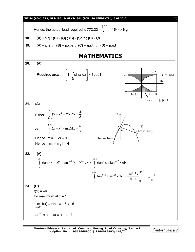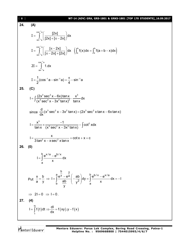#### [ **8** ] **WT-14 (ADV) GRA, GRS-1801 & GRKS-1801 [TOP 170 STUDENTS]\_16.09.2017 24. (A)** 1 1  $\int_{\cos^{-1} a}^{\cos^{-1} a} \left( \frac{[2x]}{[2x]^{2}} \right) dx$  $\sin^{-1} a$  $[2x] + [\pi - 2x]$ i, i,  $I = \int_{\sin^{-1}a}^{\cos^{-1}a} \left( \frac{[2x]}{[2x] + [\pi - 2x]} \right) dx$  $\iint_{a} f(x) dx = \int_{a} f(a+b-x) dx$ 1 1  $\int_{c}^{\cos^{-1}a}$   $\left[\pi-2x\right]$   $\left[\pi-2x\right]$   $\left[\pi\right]$  $\int_{\sin^{-1} a} \left( \left[ \pi - 2x \right] + \left[ 2x \right] \right)$   $\left( \begin{array}{ccc} \frac{3}{2} & \frac{3}{2} \\ \frac{3}{2} & \frac{3}{2} \end{array} \right)$  $\left[\frac{\pi - 2x}{2}, \frac{\pi}{2}\right]$ dx  $\left(\int_{0}^{b} f(x) dx = \int_{0}^{b} f(a+b-x) dx\right)$  $[\pi - 2x] + [2x]$ i, f  $I = \int_{\sin^{-1}a}^{\cos^{-1}a} \left( \frac{[\pi - 2x]}{[\pi - 2x] + [2x]} \right) dx \quad \left( \int_{a}^{b} f(x) dx = \int_{a}^{b} f(a+b-x) dx \right)$ 1 1  $\cos^{-1}a$  $\sin^{-1} a$ 1.dx f  $2I = \iint_{\sin^{-1} 1}$  $\frac{1}{2}$ (cos<sup>-1</sup> a – sin<sup>-1</sup> a) =  $\frac{\pi}{4}$  – sin<sup>-1</sup> a  $2^{(\text{2})}$   $\frac{1}{4}$  $I = \frac{1}{2}$ (cos<sup>-1</sup>a – sin<sup>-1</sup>a) =  $\frac{\pi}{4}$  – sin<sup>-1</sup> **25. (C)**  $3 \text{cos}^2 x$  Gyltony  $x^3$  $I = \int \frac{(2x^3 \sec^2 x - 6x) \tan x}{(x^3 \sec^2 x - 3x^2 \tan x)^2} \cdot \frac{x^3}{\tan x} dx$  $(x^3 \sec^2 x - 3x^2 \tan x)^2$  tanx  $=\int \frac{(2x^3 \sec^2 x - 6x) \tan x}{(x^3 - 2x^2 - 6x^2)}$ .  $\int \frac{\sqrt{2x^3 \sec^2 x}}{(x^3 \sec^2 x$ since  $\frac{d}{dx}(x^3 \sec^2 x - 3x^2 \tan x) = (2x^3 \sec^2 x \tan x - 6x \tan x)$ dx  $-3x^2$  tan x) = (2x $^3$  sec $^2$  x tan x  $-6$ <sup>3</sup>  $-1$   $\int \cot^2$  $I = \frac{x^3}{\tan x} \times \frac{-1}{(x^3 \cos^2 x - 3x^2 \tan x)} - \int \cot^2 x dx$ tan x  $(x^3 \sec^2 x - 3x^2 \tan x)$  $=\frac{x^3}{1} \times \frac{-1}{(x-3)^2}$  $\frac{1}{-3x^2 \tan x} - \int$  $2v$   $v$  con<sup>2</sup>  $I = \frac{x}{2(1-2)^2} + \cot x + x + c$ 3 tan<sup>2</sup>  $x - x$  sec<sup>2</sup> x tan x  $=\frac{1}{2!}$   $\frac{1}{2}$   $\frac{1}{2}$   $\frac{1}{2}$   $\frac{1}{2}$   $\frac{1}{2}$   $\frac{1}{2}$   $\frac{1}{2}$   $\frac{1}{2}$   $\frac{1}{2}$   $\frac{1}{2}$   $\frac{1}{2}$   $\frac{1}{2}$   $\frac{1}{2}$   $\frac{1}{2}$   $\frac{1}{2}$   $\frac{1}{2}$   $\frac{1}{2}$   $\frac{1}{2}$   $\frac{1}{2}$   $\frac{1}{2}$   $\frac{1}{2}$  -**26. (0)**  $I = \int_{0}^{b} \frac{e^{x/a} - e^{b/x}}{x} dx$ a x  $=\int \frac{e^{x/a}-1}{x}$ Put  $b \rightarrow y$  $\frac{a}{c}e^y - e^{\overline{a}}$  (ab)  $\frac{b}{c}e^{b/x} - e^{x/a}$ 2  $b = \left( \begin{array}{c} y \end{array} \right)$  a  $\frac{x}{x} = \frac{b}{x}$   $\Rightarrow$   $I = \int_{0}^{a} \frac{e^{y} - e^{a}}{b} \left( -\frac{ab}{2} \right) dy = \int_{0}^{b} \frac{e^{b/x} - e^{x/a}}{b-x} dx = -I$ a y  $\begin{array}{cc} 1 & \text{ab} \\ \text{b} & \frac{\text{ab}}{\text{b}} \end{array}$   $\begin{array}{cc} y^2 \end{array}$   $\begin{array}{cc} y^2 & \text{b} \\ \text{c} & \text{d} \end{array}$ y  $-e^a$  ab  $\begin{bmatrix} a & b \\ c & d \end{bmatrix}$  $=\frac{b}{y} \Rightarrow 1 = \int_{b} \frac{c}{\frac{ab}{y^2}} \left( -\frac{ac}{y^2} \right) dy = \int_{a} \frac{c}{x} dx = -1$  $\Rightarrow$  2I=0  $\Rightarrow$  I=0. **27. (4)**  $(t)$ dt  $\Rightarrow \frac{u}{dx} = f(xy)$ .y -  $f(x)$ xy x  $I = \int_{0}^{x} f(t) dt \Rightarrow \frac{dl}{dt} = f(xy).y - f(x)$  $=\int_{x} f(t) dt \Rightarrow \frac{dt}{dx} = f(xy).y - f$

Mentors Eduserv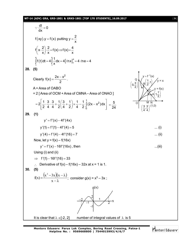#### **WT-14 (ADV) GRA, GRS-1801 & GRKS-1801 [TOP 170 STUDENTS]\_16.09.2017** [ **9** ]

$$
\frac{dI}{dx} = 0
$$
  
\nf(xy).y = f(x) putting y =  $\frac{2}{x}$   
\nf $\left(x, \frac{2}{x}\right) \frac{2}{x} = f(x) = f(x) = \frac{4}{x}$   
\n
$$
\int_{1}^{6} f(t) dt = 4 \int_{1}^{6} \frac{1}{x} dx = 4 [ln x]_{1}^{6} = 4 \text{ (ne } = 4
$$
  
\n28. (6)  
\nClearly  $f(x) = \frac{2x - x^{2}}{2}$ .  
\nA = Area of OABO  
\n= 2 [Area of OCM + Area of CNNA - Area of ONAO]  
\n
$$
= 2 \left[ \frac{1}{2} \cdot \frac{3}{4} \cdot \frac{3}{4} + \frac{1}{2} \left( \frac{3}{4} + \frac{1}{2} \right) x \frac{1}{4} - \frac{1}{2} \int_{0}^{1} (2x - x^{2}) dx \right] = \frac{5}{24}
$$
  
\n29. (1)  
\ny' = f'(x) - 4f'(4x)  
\ny'(1) = f'(1) - 4f'(4) = 5  
\ny'(4) = f'(4) - 4f'(16) = 7  
\nNow, let y = f(x) - f(f(xx))  
\ny' = f'(x) - 16f'(16x) then ...(ii)  
\nUsing (i) and (ii)  
\n⇒ f'(1) - 16f'(16) = 33  
\n∴ Derivative of f(x) + f(16x) - 32x at x = 1 is 1.  
\n30. (5)  
\nf(x) =  $\frac{(x^{3} - 3x)(x - \lambda)}{x - \lambda}$ ; consider g(x) = x<sup>3</sup> - 3x;  
\nIt is clear that  $\lambda \in [2, 2]$  number of integral values of  $\lambda$  is 5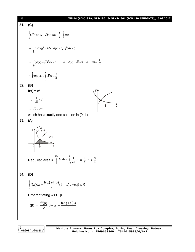### [ **10** ] **WT-14 (ADV) GRA, GRS-1801 & GRKS-1801 [TOP 170 STUDENTS]\_16.09.2017 31. (C)** 1<br> $\int v^{3/2} f(v) = \sqrt{v}f(v)dv = \frac{1}{2}$ 0 0  $\int_{0}^{1} x^{3/2} f(x) (2 - \sqrt{x}f(x)) dx = \frac{1}{2} = \int_{0}^{1} x dx$ 1<br> $\int ( (vf(x))^2 - 2\sqrt{x} , v f(x) + ( \sqrt{x})^2 )$  $\Rightarrow$   $\int_{0}^{1} ((xf(x))^{2} - 2\sqrt{x} \cdot xf(x) + (\sqrt{x})^{2}) dx = 0$ 1<br>[(vf(x) \_ ,  $\sqrt{x}$ )<sup>2</sup>  $\Rightarrow \int_{0}^{1} (xf(x) - \sqrt{x})^2 dx = 0 \Rightarrow xf(x) - \sqrt{x} = 0 \Rightarrow f(x) = \frac{1}{\sqrt{x}}$ 1 1 0 0  $\therefore \int_{0}^{1} xf(x)dx = \int_{0}^{1} \sqrt{x}dx = \frac{2}{3}$ **32. (B)**  $f(x) = e^x$  $\Rightarrow \frac{1}{\sqrt{x}} = e^x$ 0 1 y x  $\Rightarrow \sqrt{x} = e^{-x}$ which has exactly one solution in  $(0, 1)$ **33. (A)**  $0 \frac{1}{4}$  1 y x 1 4 x=1 y=8x  $y =$ 1 x Required area =  $1/4$  1 0  $1/4$  $\int_{0}^{4\pi} 8x \, dx + \int_{1/4}^{4} \frac{1}{\sqrt{x}} \, dx = \frac{1}{4} + 1 = \frac{5}{4}$ 4 **34. (D)**  $f(x)dx = \frac{f(\alpha) + f(\beta)}{2}(\beta - \alpha)$ ,  $\forall \alpha, \beta \in R$ 2 β  $\int_{\alpha}^{\beta} f(x) dx = \frac{f(\alpha) + f(\beta)}{2} (\beta - \alpha) , \ \forall \alpha, \beta \in \mathbb{R}$ Differentiating w.r.t.  $\beta$ ,  $f(\beta) = \frac{f'(\beta)}{2}(\beta - \alpha) + \frac{f(\alpha) + f(\beta)}{2}$  $2^{r}$  2  $\beta$ ) =  $\frac{f'(\beta)}{2}(\beta-\alpha)+\frac{f(\alpha)+f(\beta)}{2}$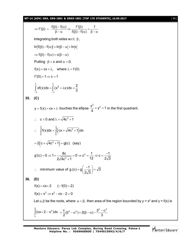**WT-14 (ADV) GRA, GRS-1801 & GRKS-1801 [TOP 170 STUDENTS]\_16.09.2017** [ **11** ]

$$
\Rightarrow f'(\beta) = \frac{f(\beta) - f(\alpha)}{\beta - \alpha} \Rightarrow \frac{f'(\beta)}{f(\beta) - f(\alpha)} = \frac{1}{\beta - \alpha}
$$
\nIntegrating both sides w.r.t.  $\beta$ ,  
\n
$$
\ln |f(\beta) - f(\alpha)| = \ln |\beta - \alpha| + \ln |\alpha|
$$
\n
$$
\Rightarrow f(\beta) - f(\alpha) = c(\beta - \alpha)
$$
\nPutting  $\beta = x$  and  $\alpha = 0$ ,  
\n
$$
f(x) = cx + \lambda
$$
, where  $\lambda = f(0)$   
\n
$$
f'(0) = 1 \Rightarrow c = 1
$$
\n
$$
\int_{-1}^{1} xf(x)dx = \int_{-1}^{1} (x^2 + \lambda x)dx = \frac{2}{3}
$$
\n35. (C)  
\n
$$
y = f(x) = cx + \lambda
$$
 touches the ellipse  $\frac{x^2}{4} + y^2 = 1$  in the first quadrant.  
\n
$$
\therefore c < 0
$$
 and  $\lambda = \sqrt{4c^2 + 1}$   
\n
$$
\therefore \int_{0}^{2} f(x)dx = \int_{0}^{2} (cx + \sqrt{4c^2 + 1})dx
$$
\n
$$
= 2(c + \sqrt{4c^2 + 1}) = g(c)
$$
 (say)  
\n
$$
g'(c) = 0 \Rightarrow 1 + \frac{8c}{2\sqrt{4c^2 + 1}} = 0 \Rightarrow c^2 = \frac{1}{12} \Rightarrow c = \frac{-1}{2\sqrt{3}}
$$
\n
$$
\therefore \text{ minimum value of } g(c) = g(\frac{-1}{2\sqrt{3}}) = \sqrt{3}
$$
\n36. (D)  
\n
$$
f(x) = cx + 2 \quad (\because f(0) = 2)
$$
\n
$$
f(x) = cx + 2 \quad (\because f(0) = 2)
$$
\n
$$
f(x) = x^2 \Rightarrow x^2 - cx - 2 = 0
$$
\nLet  $\alpha, \beta$  be the roots, where  $\alpha < \beta$ , then area of the region bounded by  $y = x^2$  and  $y = f(x)$  is  $\int_{0}^{\beta} (cx + 2 - x^2)dx = \frac{c}{2}(\beta^2 - \alpha^2) + 2(\beta -$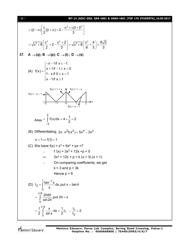#### [ **12** ] **WT-14 (ADV) GRA, GRS-1801 & GRKS-1801 [TOP 170 STUDENTS]\_16.09.2017**

$$
= (\beta - \alpha) \left[ \frac{c}{2} (\beta + \alpha) + 2 - \frac{\alpha^2 + \alpha \beta + \beta^2}{3} \right]
$$
  
\n
$$
= \sqrt{c^2 + 8} \left[ \frac{c^2}{2} + 2 - \frac{c^2 + 2}{3} \right] = \sqrt{c^2 + 8} \left( \frac{c^2}{6} + \frac{4}{3} \right) \ge \frac{8\sqrt{2}}{3}
$$
  
\n37. A→(q); B→(p); C→(t); D→(s)  
\n(A) f(x) = 
$$
\begin{cases}\n-x - 1 \text{ if } x \le -1 \\
x + 1 \text{ if } -1 \le x < 0 \\
1 - x \text{ if } 0 \le x < 1\n\end{cases}
$$
  
\n(A) f(x) = 
$$
\begin{cases}\n-\frac{x - 1 \text{ if } x \le -1}{x + 1 \text{ if } -1 \le x < 0} \\
1 - x \text{ if } x \ge 1\n\end{cases}
$$
  
\n
$$
f(x) = -x - 1
$$
  
\n
$$
f(x) = -x - 1
$$
  
\n
$$
\begin{cases}\nf(x) = 1 + x \\
-2 - 1 = 0\n\end{cases}
$$
  
\n
$$
Area = \int_{-2}^{2} f(x) dx = 4 \times \frac{1}{2} = 2
$$
  
\n(B) Differentiating, 2x · x<sup>2</sup>f(x<sup>2</sup>) = 5x<sup>4</sup> - 3x<sup>2</sup>  
\nx = 1 ⇒ f(1) = 1  
\n(C) We have f(x) = x<sup>3</sup> + 6x<sup>2</sup> + px + 7  
\n∴ f'(x) = 3x<sup>2</sup> + 12x + p < 0  
\n⇒ 3x<sup>2</sup> + 12x + p = k (x + 3) (x + 1)  
\n∴ On comparing coefficients, we get  
\nk = 3 and p = 3k  
\nHence p = 9  
\n(D) I<sub>2</sub> = 
$$
\int_{0}^{1} \frac{\tan^{-1} x}{x} dx
$$
, put x = tan θ  
\n
$$
= \int_{0}^{\frac{\pi}{2}} \frac{2}{\sin 2\theta} \cdot \frac{1}{2} dx = \frac{1}{2} I_1 \therefore \frac{
$$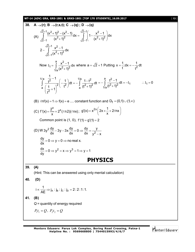**WT-14 (ADV) GRA, GRS-1801 & GRKS-1801 [TOP 170 STUDENTS]\_16.09.2017** [ **13** ]

38. A→(r); B → (r,s,t); C → (q); D → (q)  
\n(A) 
$$
\int_{2}^{\sqrt{2}+1} \frac{(x^2+1)^2 - (x^2-1)}{(x^2+1)^2} dx = \int_{\sqrt{2}+1}^{\sqrt{2}+1} \left(1-\frac{x^2-1}{(x^2+1)^2}\right) dx
$$
  
\n(A)  $\int_{2-1}^{\sqrt{2}+1} \frac{x^2-1}{(x^2+1)^2} dx$   
\n $2-\int_{\sqrt{2}-1}^{\sqrt{2}+1} \frac{x^2-1}{(x^2+1)^2} dx$   
\nNow I<sub>1</sub> =  $\int_{1/a}^{a} \frac{x^2-1}{(x^2+1)^2} dx$  where  $a = \sqrt{2}+1$  Putting  $x = \frac{1}{t}$ ;  $dx = -\frac{1}{t^2} dt$   
\n $\int_{a}^{1/a} \frac{1}{\left(\frac{1}{t^2}+1\right)^2} \left(-\frac{1}{t^2}\right) dt = -\int_{a}^{1/a} \frac{1-t^2}{(t^2+1)^2} dt = -\int_{1/a}^{a} \frac{t^2-1}{(t^2+1)^2} dt = -I_1$  ∴  $I_1 = 0$   
\n(B) *fnf(x) = 1* ⇒ *f(x) = e* ... constant function and D<sub>f</sub> = (0,1) ∪ (1,∞)  
\n(C) *f'(x) = \frac{2^x}{x} + 2^x(\ell n 2)(\ell n x); g'(x) = x^{2x} \left(2x \times \frac{1}{x} + 2\ell n x\right)  
\nCommon point is (1, 0), *f'(1) = g'(1) = 2*  
\n(D) W 3y<sup>2</sup>  $\frac{dy}{dx} - 3y - 3x \frac{dy}{dx} = 0 \Rightarrow \frac{dy}{dx} = \frac{y}{y^2 - x}$   
\n $\frac{dy}{dx} = 0 \Rightarrow y = 0 \Rightarrow \text{no real } x$ .  
\n $\frac{dx}{dy} = 0 \Rightarrow y^2 = x \Rightarrow y^3 = 1 \Rightarrow y = 1$   
\n39. (A)  
\n(Hint: This can be answered using only mental calculation)  
\n40. (D*

**Mentors Eduserv: Parus Lok Complex, Boring Road Crossing, Patna-1 Helpline No. : 9569668800 | 7544015993/4/6/7**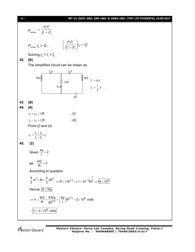#### [ **14** ] **WT-14 (ADV) GRA, GRS-1801 & GRKS-1801 [TOP 170 STUDENTS]\_16.09.2017**

$$
P_{\text{series}} = \frac{P_1 P_2}{P_1 + P_2}
$$
\n
$$
P_{\text{series}} t_0 = Q, \qquad \left(\frac{P_1 P_2}{P_1 + P_2}\right) t_0 = Q
$$
\nSolving  $t_0 = t_1 + t_2$ .  
\n(B)

The simplified circuit can be drawn as



Mentors Eduserv

**42. (B)**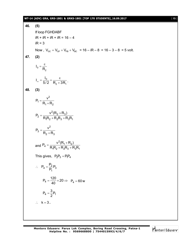#### **WT-14 (ADV) GRA, GRS-1801 & GRKS-1801 [TOP 170 STUDENTS]\_16.09.2017** [ **15** ]

**46. (5)** If loop FGHDABF  $iR + iR + iR + iR = 16 - 4$  $iR = 3$ Now,  $V_{\text{GC}} = V_{\text{GF}} + V_{\text{FB}} + V_{\text{BC}} = 16 - iR - 8 = 16 - 3 - 8 = 5$  volt. **47. (2)**  $I_0 = \frac{\varepsilon}{R_2}$  $\alpha = \frac{10}{5/2} = \frac{c}{R_2 + 3R_1}$  $I_{\infty} = \frac{I_0}{5.68} = \frac{\epsilon}{D}$  $\overline{+3R_1}$ . **48. (3)**  $=$  $^{+}$ 2 1  $1 + 1$  2  $P_1 = \frac{v}{R_1}$  $R_1 + R$  $=\frac{v^2(R_2+R_3)}{R_1R_2+R_3R_1}$ + $R_2R_3 + F$  $v_2 = \frac{v^2 (R_2 + R_3)}{P P P + P P}$  $1^{1}$  2  $7^{1}$   $1^{2}$   $1^{3}$   $1^{3}$   $1^{3}$  $P_2 = \frac{v^2 (R_2 + R_3)}{R R_1 R_2 R_3}$  $R_1R_2 + R_2R_3 + R_3R$  $=$  $^{+}$ 2 3  $2 + 1$  3  $P_3 = \frac{v}{R}$  $R_2 + R$ and  $=\frac{v^2(R_1+1)}{R_1R_2+R_2R_3}$ +  $R_2R_3$  + F  $v_4 = \frac{v^2 (R_1 + R_2)}{P P_1 + P P_2}$  $1^1$  2  $^1$   $1^1$  2  $^1$  3  $^1$  1  $^1$  3  $^1$  $P_4 = \frac{v^2 (R_1 + R_2)}{R R_1 R_2}$  $R_1R_2 + R_2R_3 + R_3R$ This gives,  $P_2P_3 = P_1P_4$  $\therefore$  P<sub>4</sub> =  $\frac{r_2}{D}P_3$ 1  $P_4 = \frac{P_2}{P_1} P_3$ P  $P_4 = \frac{120}{40} \times 20$  $=\frac{128}{40} \times 20 \Rightarrow P_4 = 60 \text{ w}$  $P_4 = \frac{3}{2} P_1$ 2  $\therefore$  **k** = 3.

Mentors Eduserv